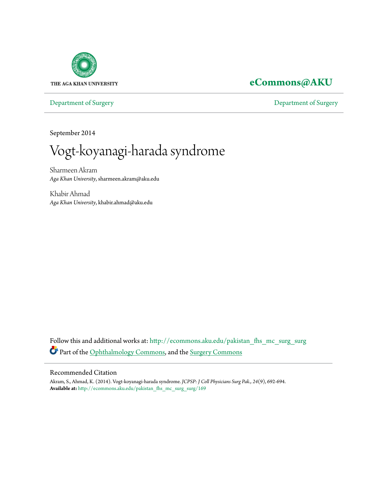

## **[eCommons@AKU](http://ecommons.aku.edu?utm_source=ecommons.aku.edu%2Fpakistan_fhs_mc_surg_surg%2F169&utm_medium=PDF&utm_campaign=PDFCoverPages)**

[Department of Surgery](http://ecommons.aku.edu/pakistan_fhs_mc_surg_surg?utm_source=ecommons.aku.edu%2Fpakistan_fhs_mc_surg_surg%2F169&utm_medium=PDF&utm_campaign=PDFCoverPages) [Department of Surgery](http://ecommons.aku.edu/pakistan_fhs_mc_surg?utm_source=ecommons.aku.edu%2Fpakistan_fhs_mc_surg_surg%2F169&utm_medium=PDF&utm_campaign=PDFCoverPages)

September 2014

Vogt-koyanagi-harada syndrome

Sharmeen Akram *Aga Khan University*, sharmeen.akram@aku.edu

Khabir Ahmad *Aga Khan University*, khabir.ahmad@aku.edu

Follow this and additional works at: [http://ecommons.aku.edu/pakistan\\_fhs\\_mc\\_surg\\_surg](http://ecommons.aku.edu/pakistan_fhs_mc_surg_surg?utm_source=ecommons.aku.edu%2Fpakistan_fhs_mc_surg_surg%2F169&utm_medium=PDF&utm_campaign=PDFCoverPages) Part of the [Ophthalmology Commons,](http://network.bepress.com/hgg/discipline/695?utm_source=ecommons.aku.edu%2Fpakistan_fhs_mc_surg_surg%2F169&utm_medium=PDF&utm_campaign=PDFCoverPages) and the [Surgery Commons](http://network.bepress.com/hgg/discipline/706?utm_source=ecommons.aku.edu%2Fpakistan_fhs_mc_surg_surg%2F169&utm_medium=PDF&utm_campaign=PDFCoverPages)

#### Recommended Citation

Akram, S., Ahmad, K. (2014). Vogt-koyanagi-harada syndrome. *JCPSP: J Coll Physicians Surg Pak., 24*(9), 692-694. **Available at:** [http://ecommons.aku.edu/pakistan\\_fhs\\_mc\\_surg\\_surg/169](http://ecommons.aku.edu/pakistan_fhs_mc_surg_surg/169)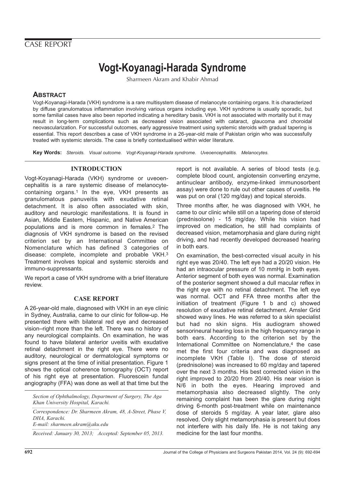### CASE REPORT

# **Vogt-Koyanagi-Harada Syndrome**

Sharmeen Akram and Khabir Ahmad

#### **ABSTRACT**

Vogt-Koyanagi-Harada (VKH) syndrome is a rare multisystem disease of melanocyte containing organs. It is characterized by diffuse granulomatous inflammation involving various organs including eye. VKH syndrome is usually sporadic, but some familial cases have also been reported indicating a hereditary basis. VKH is not associated with mortality but it may result in long-term complications such as decreased vision associated with cataract, glaucoma and choroidal neovascularization. For successful outcomes, early aggressive treatment using systemic steroids with gradual tapering is essential. This report describes a case of VKH syndrome in a 26-year-old male of Pakistan origin who was successfully treated with systemic steroids. The case is briefly contextualised within wider literature.

**Key Words:** Steroids. Visual outcome. Vogt-Koyanagi-Harada syndrome. Uveoencephalitis. Melanocytes.

#### **INTRODUCTION**

Vogt-Koyanagi-Harada (VKH) syndrome or uveoencephalitis is a rare systemic disease of melanocytecontaining organs.1 In the eye, VKH presents as granulomatous panuveitis with exudative retinal detachment. It is also often associated with skin, auditory and neurologic manifestations. It is found in Asian, Middle Eastern, Hispanic, and Native American populations and is more common in females.2 The diagnosis of VKH syndrome is based on the revised criterion set by an International Committee on Nomenclature which has defined 3 categories of disease: complete, incomplete and probable VKH.3 Treatment involves topical and systemic steroids and immuno-suppressants.

We report a case of VKH syndrome with a brief literature review.

#### **CASE REPORT**

A 26-year-old male, diagnosed with VKH in an eye clinic in Sydney, Australia, came to our clinic for follow-up. He presented there with bilateral red eye and decreased vision–right more than the left. There was no history of any neurological complaints. On examination, he was found to have bilateral anterior uveitis with exudative retinal detachment in the right eye. There were no auditory, neurological or dermatological symptoms or signs present at the time of initial presentation. Figure 1 shows the optical coherence tomography (OCT) report of his right eye at presentation. Fluorescein fundal angiography (FFA) was done as well at that time but the

*Section of Ophthalmology, Department of Surgery, The Aga Khan University Hospital, Karachi.*

*Correspondence: Dr. Sharmeen Akram, 48, A-Street, Phase V, DHA, Karachi. E-mail: sharmeen.akram@aku.edu*

*Received: January 30, 2013; Accepted: September 05, 2013.*

report is not available. A series of blood tests (e.g. complete blood count, angiotensin converting enzyme, antinuclear antibody, enzyme-linked immunosorbent assay) were done to rule out other causes of uveitis. He was put on oral (120 mg/day) and topical steroids.

Three months after, he was diagnosed with VKH, he came to our clinic while still on a tapering dose of steroid (prednisolone) - 15 mg/day. While his vision had improved on medication, he still had complaints of decreased vision, metamorphasia and glare during night driving, and had recently developed decreased hearing in both ears.

On examination, the best-corrected visual acuity in his right eye was 20/40. The left eye had a 20/20 vision. He had an intraocular pressure of 10 mmHg in both eyes. Anterior segment of both eyes was normal. Examination of the posterior segment showed a dull macular reflex in the right eye with no retinal detachment. The left eye was normal. OCT and FFA three months after the initiation of treatment (Figure 1 b and c) showed resolution of exudative retinal detachment. Amsler Grid showed wavy lines. He was referred to a skin specialist but had no skin signs. His audiogram showed sensorineural hearing loss in the high frequency range in both ears. According to the criterion set by the International Committee on Nomenclature,<sup>4</sup> the case met the first four criteria and was diagnosed as incomplete VKH (Table I). The dose of steroid (prednisolone) was increased to 60 mg/day and tapered over the next 3 months. His best corrected vision in the right improved to 20/20 from 20/40. His near vision is N/6 in both the eyes. Hearing improved and metamorphasia also decreased slightly. The only remaining complaint has been the glare during night driving 6-month post-treatment while on maintenance dose of steroids 5 mg/day. A year later, glare also resolved. Only slight metamorphasia is present but does not interfere with his daily life. He is not taking any medicine for the last four months.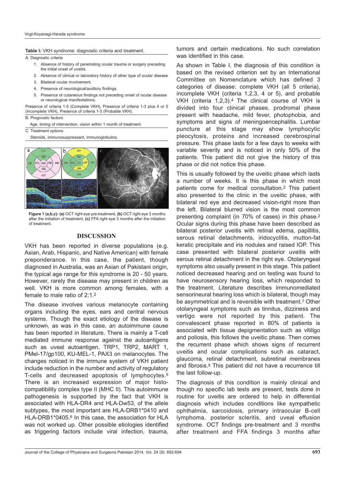**Table I:** VKH syndrome: diagnostic criteria and treatment.

A. Diagnostic criteria

- 1. Absence of history of penetrating ocular trauma or surgery preceding the initial onset of uveitis.
- 2. Absence of clinical or laboratory history of other type of ocular disease
- 3. Bilateral ocular involvement.
- 4. Presence of neurological/auditory findings.
- 5. Presence of cutaneous findings not preceding onset of ocular disease or neurological manifestations.

Presence of criteria 1-5 (Complete VKH), Presence of criteria 1-3 plus 4 or 5 (Incomplete VKH), Presence of criteria 1-3 (Probable VKH).

B. Prognostic factors

Age, timing of intervention, vision within 1 month of treatment.

C. Treatment options

Steroids, immunosuppressant, immunoglobulins.



**Figure 1 (a,b,c): (a)** OCT right eye pre-treatment, **(b)** OCT right eye 3 months after the initiation of treatment, **(c)** FFA right eye 3 months after the initiation of treatment.

#### **DISCUSSION**

VKH has been reported in diverse populations (e.g. Asian, Arab, Hispanic, and Native American) with female preponderance. In this case, the patient, though diagnosed in Australia, was an Asian of Pakistani origin, the typical age range for this syndrome is 20 - 50 years. However, rarely the disease may present in children as well. VKH is more common among females, with a female to male ratio of 2:1.2

The disease involves various melanocyte containing organs including the eyes, ears and central nervous systems. Though the exact etiology of the disease is unknown, as was in this case, an autoimmune cause has been reported in literature. There is mainly a T-cell mediated immune response against the autoantigens such as uveal autoantigen, TRP1, TRP2, MART 1, PMel-17/gp100, KU-MEL-1, PAX3 on melanocytes. The changes noticed in the immune system of VKH patient include reduction in the number and activity of regulatory T-cells and decreased apoptosis of lymphocytes.5 There is an increased expression of major histocompatibility complex type II (MHC II). This autoimmune pathogenesis is supported by the fact that VKH is associated with HLA-DR4 and HLA-Dw53, of the allele subtypes, the most important are HLA-DRB1\*0410 and HLA-DRB1\*0405.6 In this case, the association for HLA was not worked up. Other possible etiologies identified as triggering factors include viral infection, trauma,

tumors and certain medications. No such correlation was identified in this case.

As shown in Table I, the diagnosis of this condition is based on the revised criterion set by an International Committee on Nomenclature which has defined 3 categories of disease: complete VKH (all 5 criteria), incomplete VKH (criteria 1,2,3, 4 or 5), and probable VKH (criteria 1,2,3).4 The clinical course of VKH is divided into four clinical phases, prodromal phase present with headache, mild fever, photophobia, and symptoms and signs of meningoencephalitis. Lumbar puncture at this stage may show lymphocytic pleocytosis, proteins and increased cerebrospinal pressure. This phase lasts for a few days to weeks with variable severity and is noticed in only 50% of the patients. This patient did not give the history of this phase or did not notice this phase.

This is usually followed by the uveitic phase which lasts a number of weeks. It is this phase in which most patients come for medical consultation.2 This patient also presented to the clinic in the uveitic phase, with bilateral red eye and decreased vision-right more than the left. Bilateral blurred vision is the most common presenting complaint (in 70% of cases) in this phase.2 Ocular signs during this phase have been described as bilateral posterior uveitis with retinal edema, papillitis, serous retinal detachments, iridocyclitis, mutton-fat keratic precipitate and iris nodules and raised IOP. This case presented with bilateral posterior uveitis with serous retinal detachment in the right eye. Otolaryngeal symptoms also usually present in this stage. This patient noticed decreased hearing and on testing was found to have neurosensory hearing loss, which responded to the treatment. Literature describes immunomediated sensorineural hearing loss which is bilateral, though may be asymmetrical and is reversible with treatment.7 Other otolaryngeal symptoms such as tinnitus, dizziness and vertigo were not reported by this patient. The convalescent phase reported in 80% of patients is associated with tissue depigmentation such as vitiligo and poliosis, this follows the uveitic phase. Then comes the recurrent phase which shows signs of recurrent uveitis and ocular complications such as cataract, glaucoma, retinal detachment, subretinal membranes and fibrosis.8 This patient did not have a recurrence till the last follow-up.

The diagnosis of this condition is mainly clinical and though no specific lab tests are present, tests done in routine for uveitis are ordered to help in differential diagnosis which includes conditions like sympathetic ophthalmia, sarcoidosis, primary intraocular B-cell lymphoma, posterior scleritis, and uveal effusion syndrome. OCT findings pre-treatment and 3 months after treatment and FFA findings 3 months after